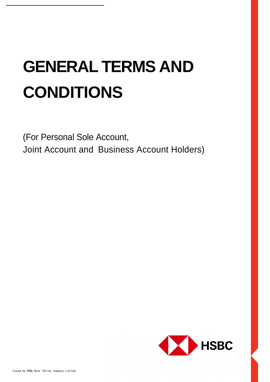# **GENERAL TERMS AND CONDITIONS**

(For Personal Sole Account, Joint Account and Business Account Holders)

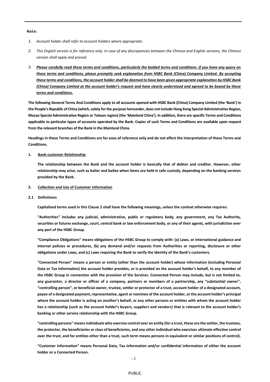## **Note:**

- *1. Account holder shall refer to account holders where appropriate.*
- *2. This English version is for reference only. In case of any discrepancies between the Chinese and English versions, the Chinese version shall apply and prevail.*
- *3. Please carefully read these terms and conditions, particularly the bolded terms and conditions. If you have any query on these terms and conditions, please promptly seek explanation from HSBC Bank (China) Company Limited. By accepting these terms and conditions, the account holder shall be deemed to have been given appropriate explanation by HSBC Bank (China) Company Limited at the account holder's request and have clearly understood and agreed to be bound by these terms and conditions.*

**The following General Terms And Conditions apply to all accounts opened with HSBC Bank (China) Company Limited (the 'Bank') in the People's Republic of China (which, solely for the purpose hereunder, does not include Hong Kong Special Administrative Region, Macao Special Administrative Region or Taiwan region) (the 'Mainland China'). In addition, there are specific Terms and Conditions applicable to particular types of accounts operated by the Bank. Copies of such Terms and Conditions are available upon request from the relevant branches of the Bank in the Mainland China.**

**Headings in these Terms and Conditions are for ease of reference only and do not affect the interpretation of these Terms and Conditions.**

#### **1. Bank-customer Relationship**

**The relationship between the Bank and the account holder is basically that of debtor and creditor. However, other relationship may arise, such as bailor and bailee when items are held in safe custody, depending on the banking services provided by the Bank.**

- **2. Collection and Use of Customer Information**
- **2.1 Definitions**

**Capitalised terms used in this Clause 2 shall have the following meanings, unless the context otherwise requires:**

**"Authorities" includes any judicial, administrative, public or regulatory body, any government, any Tax Authority, securities or futures exchange, court, central bank or law enforcement body, or any of their agents, with jurisdiction over any part of the HSBC Group.**

**"Compliance Obligations" means obligations of the HSBC Group to comply with: (a) Laws, or international guidance and internal policies or procedures, (b) any demand and/or requests from Authorities or reporting, disclosure or other obligations under Laws, and (c) Laws requiring the Bank to verify the identity of the Bank's customers.**

**"Connected Person" means a person or entity (other than the account holder) whose information (including Personal Data or Tax Information) the account holder provides, or is provided on the account holder's behalf, to any member of the HSBC Group in connection with the provision of the Services. Connected Person may include, but is not limited to, any guarantor, a director or officer of a company, partners or members of a partnership, any "substantial owner", "controlling person", or beneficial owner, trustee, settler or protector of a trust, account holder of a designated account, payee of a designated payment, representative, agent or nominee of the account holder, or the account holder's principal where the account holder is acting on another's behalf, or any other persons or entities with whom the account holder has a relationship (such as the account holder's buyers, suppliers and vendors) that is relevant to the account holder's banking or other service relationship with the HSBC Group.**

**"controlling persons" means individuals who exercise control over an entity (for a trust, these are the settlor, the trustees, the protector, the beneficiaries or class of beneficiaries, and any other individual who exercises ultimate effective control over the trust, and for entities other than a trust, such term means persons in equivalent or similar positions of control).**

**"Customer Information" means Personal Data, Tax Information and/or confidential information of either the account holder or a Connected Person.**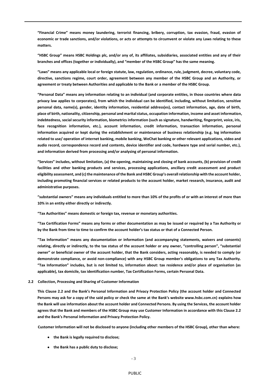**"Financial Crime" means money laundering, terrorist financing, bribery, corruption, tax evasion, fraud, evasion of economic or trade sanctions, and/or violations, or acts or attempts to circumvent or violate any Laws relating to these matters.**

**"HSBC Group" means HSBC Holdings plc, and/or any of, its affiliates, subsidiaries, associated entities and any of their branches and offices (together or individually), and "member of the HSBC Group" has the same meaning.**

**"Laws" means any applicable local or foreign statute, law, regulation, ordinance, rule, judgment, decree, voluntary code, directive, sanctions regime, court order, agreement between any member of the HSBC Group and an Authority, or agreement or treaty between Authorities and applicable to the Bank or a member of the HSBC Group.**

**"Personal Data" means any information relating to an individual (and corporate entities, in those countries where data privacy law applies to corporates), from which the individual can be identified, including, without limitation, sensitive personal data, name(s), gender, identity information, residential address(es), contact information, age, date of birth, place of birth, nationality, citizenship, personal and marital status, occupation information, income and asset information, indebtedness, social security information, biometrics information (such as signature, handwriting, fingerprint, voice, iris, face recognition information, etc.), account information, credit information, transaction information, personal information acquired or kept during the establishment or maintenance of business relationship (e.g. log information related to use/ operation of internet banking, mobile banking, WeChat banking or other relevant applications, video and audio record, correspondence record and contents, device identifier and code, hardware type and serial number, etc.), and information derived from processing and/or analysing of personal information.**

**"Services" includes, without limitation, (a) the opening, maintaining and closing of bank accounts, (b) provision of credit facilities and other banking products and services, processing applications, ancillary credit assessment and product eligibility assessment, and (c) the maintenance of the Bank and HSBC Group's overall relationship with the account holder, including promoting financial services or related products to the account holder, market research, insurance, audit and administrative purposes.**

**"substantial owners" means any individuals entitled to more than 10% of the profits of or with an interest of more than 10% in an entity either directly or indirectly.**

**"Tax Authorities" means domestic or foreign tax, revenue or monetary authorities.**

**"Tax Certification Forms" means any forms or other documentation as may be issued or required by a Tax Authority or by the Bank from time to time to confirm the account holder's tax status or that of a Connected Person.**

**"Tax Information" means any documentation or information (and accompanying statements, waivers and consents) relating, directly or indirectly, to the tax status of the account holder or any owner, "controlling person", "substantial owner" or beneficial owner of the account holder, that the Bank considers, acting reasonably, is needed to comply (or demonstrate compliance, or avoid non-compliance) with any HSBC Group member's obligations to any Tax Authority. "Tax Information" includes, but is not limited to, information about: tax residence and/or place of organisation (as applicable), tax domicile, tax identification number, Tax Certification Forms, certain Personal Data.**

**2.2 Collection, Processing and Sharing of Customer Information**

**This Clause 2.2 and the Bank's Personal Information and Privacy Protection Policy (the account holder and Connected Persons may ask for a copy of the said policy or check the same at the Bank's website www.hsbc.com.cn) explains how the Bank will use information about the account holder and Connected Persons. By using the Services, the account holder agrees that the Bank and members of the HSBC Group may use Customer Information in accordance with this Clause 2.2 and the Bank's Personal Information and Privacy Protection Policy.**

**Customer Information will not be disclosed to anyone (including other members of the HSBC Group), other than where:**

- **the Bank is legally required to disclose;**
- **the Bank has a public duty to disclose;**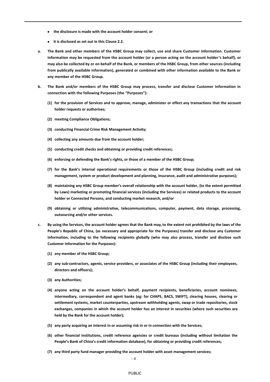- **the disclosure is made with the account holder consent; or**
- **it is disclosed as set out in this Clause 2.2.**
- **a. The Bank and other members of the HSBC Group may collect, use and share Customer Information. Customer Information may be requested from the account holder (or a person acting on the account holder's behalf), or may also be collected by or on behalf of the Bank, or members of the HSBC Group, from other sources (including from publically available information), generated or combined with other information available to the Bank or any member of the HSBC Group.**
- **b. The Bank and/or members of the HSBC Group may process, transfer and disclose Customer Information in connection with the following Purposes (the "Purposes"):**
	- **(1) for the provision of Services and to approve, manage, administer or effect any transactions that the account holder requests or authorises;**
	- **(2) meeting Compliance Obligations;**
	- **(3) conducting Financial Crime Risk Management Activity;**
	- **(4) collecting any amounts due from the account holder;**
	- **(5) conducting credit checks and obtaining or providing credit references;**
	- **(6) enforcing or defending the Bank's rights, or those of a member of the HSBC Group;**
	- **(7) for the Bank's internal operational requirements or those of the HSBC Group (including credit and risk management, system or product development and planning, insurance, audit and administrative purposes);**
	- **(8) maintaining any HSBC Group member's overall relationship with the account holder, (to the extent permitted by Laws) marketing or promoting financial services (including the Services) or related products to the account holder or Connected Persons, and conducting market research, and/or**
	- **(9) obtaining or utilizing administrative, telecommunications, computer, payment, data storage, processing, outsourcing and/or other services.**
- **c. By using the Services, the account holder agrees that the Bank may, to the extent not prohibited by the laws of the People's Republic of China, (as necessary and appropriate for the Purposes) transfer and disclose any Customer Information, including to the following recipients globally (who may also process, transfer and disclose such Customer Information for the Purposes):**
	- **(1) any member of the HSBC Group;**
	- **(2) any sub-contractors, agents, service providers, or associates of the HSBC Group (including their employees, directors and officers);**
	- **(3) any Authorities;**
	- **(4) anyone acting on the account holder's behalf, payment recipients, beneficiaries, account nominees, intermediary, correspondent and agent banks (eg: for CHAPS, BACS, SWIFT), clearing houses, clearing or settlement systems, market counterparties, upstream withholding agents, swap or trade repositories, stock exchanges, companies in which the account holder has an interest in securities (where such securities are held by the Bank for the account holder);**
	- **(5) any party acquiring an interest in or assuming risk in or in connection with the Services;**
	- **(6) other financial institutions, credit reference agencies or credit bureaus (including without limitation the People's Bank of China's credit information database), for obtaining or providing credit references;**
	- **(7) any third party fund manager providing the account holder with asset management services;**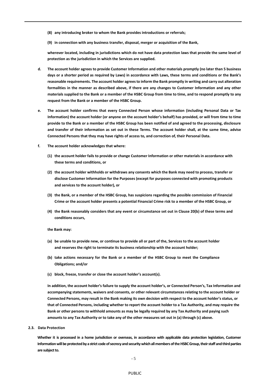- **(8) any introducing broker to whom the Bank provides introductions or referrals;**
- **(9) in connection with any business transfer, disposal, merger or acquisition of the Bank,**

**wherever located, including in jurisdictions which do not have data protection laws that provide the same level of protection as the jurisdiction in which the Services are supplied.**

- **d. The account holder agrees to provide Customer Information and other materials promptly (no later than 5 business days or a shorter period as required by Laws) in accordance with Laws, these terms and conditions or the Bank's reasonable requirements. The account holder agrees to inform the Bank promptly in writing and carry out alteration formalities in the manner as described above, if there are any changes to Customer Information and any other materials supplied to the Bank or a member of the HSBC Group from time to time, and to respond promptly to any request from the Bank or a member of the HSBC Group.**
- **e. The account holder confirms that every Connected Person whose information (including Personal Data or Tax Information) the account holder (or anyone on the account holder's behalf) has provided, or will from time to time provide to the Bank or a member of the HSBC Group has been notified of and agreed to the processing, disclosure and transfer of their information as set out in these Terms. The account holder shall, at the same time, advise Connected Persons that they may have rights of access to, and correction of, their Personal Data.**
- **f. The account holder acknowledges that where:**
	- **(1) the account holder fails to provide or change Customer Information or other materials in accordance with these terms and conditions, or**
	- **(2) the account holder withholds or withdraws any consents which the Bank may need to process, transfer or disclose Customer Information for the Purposes (except for purposes connected with promoting products and services to the account holder), or**
	- **(3) the Bank, or a member of the HSBC Group, has suspicions regarding the possible commission of Financial Crime or the account holder presents a potential Financial Crime risk to a member of the HSBC Group, or**
	- **(4) the Bank reasonably considers that any event or circumstance set out in Clause 20(b) of these terms and conditions occurs,**

**the Bank may:**

- **(a) be unable to provide new, or continue to provide all or part of the, Services to the account holder and reserves the right to terminate its business relationship with the account holder;**
- **(b) take actions necessary for the Bank or a member of the HSBC Group to meet the Compliance Obligations; and/or**
- **(c) block, freeze, transfer or close the account holder's account(s).**

**In addition, the account holder's failure to supply the account holder's, or Connected Person's, Tax Information and accompanying statements, waivers and consents, or other relevant circumstances relating to the account holder or Connected Persons, may result in the Bank making its own decision with respect to the account holder's status, or that of Connected Persons, including whether to report the account holder to a Tax Authority, and may require the Bank or other persons to withhold amounts as may be legally required by any Tax Authority and paying such amounts to any Tax Authority or to take any of the other measures set out in (a) through (c) above.**

**2.3. Data Protection**

**Whether it is processed in a home jurisdiction or overseas, in accordance with applicable data protection legislation, Customer Information will be protected by a strict code of secrecy and security which all members of the HSBC Group, their staff and third parties are subject to.**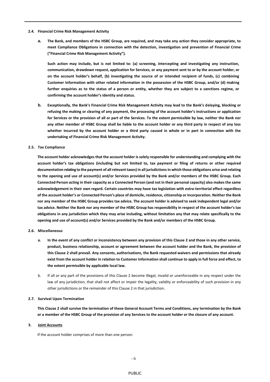- **2.4. Financial Crime Risk Management Activity**
	- **a. The Bank, and members of the HSBC Group, are required, and may take any action they consider appropriate, to meet Compliance Obligations in connection with the detection, investigation and prevention of Financial Crime ("Financial Crime Risk Management Activity").**

**Such action may include, but is not limited to: (a) screening, intercepting and investigating any instruction, communication, drawdown request, application for Services, or any payment sent to or by the account holder, or on the account holder's behalf, (b) investigating the source of or intended recipient of funds, (c) combining Customer Information with other related information in the possession of the HSBC Group, and/or (d) making further enquiries as to the status of a person or entity, whether they are subject to a sanctions regime, or confirming the account holder's identity and status.**

- **b. Exceptionally, the Bank's Financial Crime Risk Management Activity may lead to the Bank's delaying, blocking or refusing the making or clearing of any payment, the processing of the account holder's instructions or application for Services or the provision of all or part of the Services. To the extent permissible by law, neither the Bank nor any other member of HSBC Group shall be liable to the account holder or any third party in respect of any loss whether incurred by the account holder or a third party caused in whole or in part in connection with the undertaking of Financial Crime Risk Management Activity.**
- **2.5. Tax Compliance**

**The account holder acknowledges that the account holder is solely responsible for understanding and complying with the account holder's tax obligations (including but not limited to, tax payment or filing of returns or other required documentation relating to the payment of all relevant taxes) in all jurisdictions in which those obligations arise and relating to the opening and use of account(s) and/or Services provided by the Bank and/or members of the HSBC Group. Each Connected Person acting in their capacity as a Connected Person (and not in their personal capacity) also makes the same acknowledgement in their own regard. Certain countries may have tax legislation with extra-territorial effect regardless of the account holder's or Connected Person's place of domicile, residence, citizenship or incorporation. Neither the Bank nor any member of the HSBC Group provides tax advice. The account holder is advised to seek independent legal and/or tax advice. Neither the Bank nor any member of the HSBC Group has responsibility in respect of the account holder's tax obligations in any jurisdiction which they may arise including, without limitation any that may relate specifically to the opening and use of account(s) and/or Services provided by the Bank and/or members of the HSBC Group.**

## **2.6. Miscellaneous**

- **a. In the event of any conflict or inconsistency between any provision of this Clause 2 and those in any other service, product, business relationship, account or agreement between the account holder and the Bank, the provision of this Clause 2 shall prevail. Any consents, authorisations, the Bank requested waivers and permissions that already exist from the account holder in relation to Customer Information shall continue to apply in full force and effect, to the extent permissible by applicable local law.**
- b. If all or any part of the provisions of this Clause 2 become illegal, invalid or unenforceable in any respect under the law of any jurisdiction, that shall not affect or impair the legality, validity or enforceability of such provision in any other jurisdictions or the remainder of this Clause 2 in that jurisdiction.

#### **2.7. Survival Upon Termination**

**This Clause 2 shall survive the termination of these General Account Terms and Conditions, any termination by the Bank or a member of the HSBC Group of the provision of any Services to the account holder or the closure of any account.**

#### **3. Joint Accounts**

If the account holder comprises of more than one person: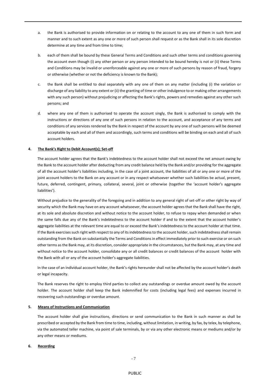- a. the Bank is authorised to provide information on or relating to the account to any one of them in such form and manner and to such extent as any one or more of such person shall request or as the Bank shall in its sole discretion determine at any time and from time to time;
- b. each of them shall be bound by these General Terms and Conditions and such other terms and conditions governing the account even though (i) any other person or any person intended to be bound hereby is not or (ii) these Terms and Conditions may be invalid or unenforceable against any one or more of such persons by reason of fraud, forgery or otherwise (whether or not the deficiency is known to the Bank);
- c. the Bank shall be entitled to deal separately with any one of them on any matter (including (i) the variation or discharge of any liability to any extent or (ii) the granting of time or other indulgence to or making other arrangements with any such person) without prejudicing or affecting the Bank's rights, powers and remedies against any other such persons; and
- d. where any one of them is authorised to operate the account singly, the Bank is authorised to comply with the instructions or directions of any one of such persons in relation to the account, and acceptance of any terms and conditions of any services rendered by the Bank in respect of the account by any one of such persons will be deemed acceptable by each and all of them and accordingly, such terms and conditions will be binding on each and all of such account holders.

## **4. The Bank's Right to Debit Account(s); Set-off**

The account holder agrees that the Bank's indebtedness to the account holder shall not exceed the net amount owing by the Bank to the account holder after deducting from any credit balance held by the Bank and/or providing for the aggregate of all the account holder's liabilities including, in the case of a joint account, the liabilities of all or any one or more of the joint account holders to the Bank on any account or in any respect whatsoever whether such liabilities be actual, present, future, deferred, contingent, primary, collateral, several, joint or otherwise (together the 'account holder's aggregate liabilities').

Without prejudice to the generality of the foregoing and in addition to any general right of set-off or other right by way of security which the Bank may have on any account whatsoever, the account holder agrees that the Bank shall have the right, at its sole and absolute discretion and without notice to the account holder, to refuse to repay when demanded or when the same falls due any of the Bank's indebtedness to the account holder if and to the extent that the account holder's aggregate liabilities at the relevant time are equal to or exceed the Bank's indebtedness to the account holder at that time. If the Bank exercises such right with respect to any of its indebtedness to the account holder, such indebtedness shall remain outstanding from the Bank on substantially the Terms and Conditions in effect immediately prior to such exercise or on such other terms as the Bank may, at its discretion, consider appropriate in the circumstances, but the Bank may, at any time and without notice to the account holder, consolidate any or all credit balances or credit balances of the account holder with the Bank with all or any of the account holder's aggregate liabilities.

In the case of an individual account holder, the Bank's rights hereunder shall not be affected by the account holder's death or legal incapacity.

The Bank reserves the right to employ third parties to collect any outstandings or overdue amount owed by the account holder. The account holder shall keep the Bank indemnified for costs (including legal fees) and expenses incurred in recovering such outstandings or overdue amount.

## **5. Means of Instructions and Communication**

The account holder shall give instructions, directions or send communication to the Bank in such manner as shall be prescribed or accepted by the Bank from time to time, including, without limitation, in writing, by fax, by telex, by telephone, via the automated teller machine, via point of sale terminals, by or via any other electronic means or mediums and/or by any other means or mediums.

## **6. Recording**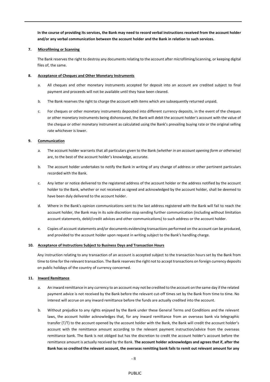**In the course of providing its services, the Bank may need to record verbal instructions received from the account holder and/or any verbal communication between the account holder and the Bank in relation to such services.**

## **7. Microfilming or Scanning**

The Bank reserves the right to destroy any documents relating to the account after microfilming/scanning, or keeping digital files of, the same.

## **8. Acceptance of Cheques and Other Monetary Instruments**

- a. All cheques and other monetary instruments accepted for deposit into an account are credited subject to final payment and proceeds will not be available until they have been cleared.
- b. The Bank reserves the right to charge the account with items which are subsequently returned unpaid.
- c. For cheques or other monetary instruments deposited into different currency deposits, in the event of the cheques or other monetary instruments being dishonoured, the Bank will debit the account holder's account with the value of the cheque or other monetary instrument as calculated using the Bank's prevailing buying rate or the original selling rate whichever is lower.

# **9. Communication**

- a. The account holder warrants that all particulars given to the Bank *(whether in an account opening form or otherwise)*  are, to the best of the account holder's knowledge, accurate.
- b. The account holder undertakes to notify the Bank in writing of any change of address or other pertinent particulars recorded with the Bank.
- c. Any letter or notice delivered to the registered address of the account holder or the address notified by the account holder to the Bank, whether or not received as signed and acknowledged by the account holder, shall be deemed to have been duly delivered to the account holder.
- d. Where in the Bank's opinion communications sent to the last address registered with the Bank will fail to reach the account holder, the Bank may in its sole discretion stop sending further communication (including without limitation account statements, debit/credit advices and other communications) to such address or the account holder.
- e. Copies of account statements and/or documents evidencing transactions performed on the account can be produced, and provided to the account holder upon request in writing subject to the Bank's handling charge.

## **10. Acceptance of Instructions Subject to Business Days and Transaction Hours**

Any instruction relating to any transaction of an account is accepted subject to the transaction hours set by the Bank from time to time for the relevant transaction. The Bank reserves the right not to accept transactions on foreign currency deposits on public holidays of the country of currency concerned.

# **11. Inward Remittance**

- a. An inward remittance in any currency to an account may not be credited to the account on the same day if the related payment advice is not received by the Bank before the relevant cut-off times set by the Bank from time to time. No interest will accrue on any inward remittance before the funds are actually credited into the account.
- b. Without prejudice to any rights enjoyed by the Bank under these General Terms and Conditions and the relevant laws, the account holder acknowledges that, for any inward remittance from an overseas bank via telegraphic transfer (T/T) to the account opened by the account holder with the Bank, the Bank will credit the account holder's account with the remittance amount according to the relevant payment instruction/advice from the overseas remittance bank. The Bank is not obliged but has the discretion to credit the account holder's account before the remittance amount is actually received by the Bank. **The account holder acknowledges and agrees that if, after the Bank has so credited the relevant account, the overseas remitting bank fails to remit out relevant amount for any**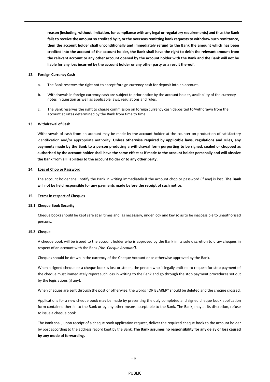**reason (including, without limitation, for compliance with any legal or regulatory requirements) and thus the Bank fails to receive the amount so credited by it, or the overseas remitting bank requests to withdraw such remittance, then the account holder shall unconditionally and immediately refund to the Bank the amount which has been credited into the account of the account holder, the Bank shall have the right to debit the relevant amount from the relevant account or any other account opened by the account holder with the Bank and the Bank will not be liable for any loss incurred by the account holder or any other party as a result thereof.**

#### **12. Foreign Currency Cash**

- a. The Bank reserves the right not to accept foreign currency cash for deposit into an account.
- b. Withdrawals in foreign currency cash are subject to prior notice by the account holder, availability of the currency notes in question as well as applicable laws, regulations and rules.
- c. The Bank reserves the right to charge commission on foreign currency cash deposited to/withdrawn from the account at rates determined by the Bank from time to time.

#### **13. Withdrawal of Cash**

Withdrawals of cash from an account may be made by the account holder at the counter on production of satisfactory identification and/or appropriate authority. **Unless otherwise required by applicable laws, regulations and rules, any payments made by the Bank to a person producing a withdrawal form purporting to be signed, sealed or chopped as authorised by the account holder shall have the same effect as if made to the account holder personally and will absolve the Bank from all liabilities to the account holder or to any other party.**

#### **14. Loss of Chop or Password**

The account holder shall notify the Bank in writing immediately if the account chop or password (if any) is lost. **The Bank will not be held responsible for any payments made before the receipt of such notice.**

#### **15. Terms in respect of Cheques**

#### **15.1 Cheque Book Security**

Cheque books should be kept safe at all times and, as necessary, under lock and key so as to be inaccessible to unauthorised persons.

## **15.2 Cheque**

A cheque book will be issued to the account holder who is approved by the Bank in its sole discretion to draw cheques in respect of an account with the Bank *(the 'Cheque Account')*.

Cheques should be drawn in the currency of the Cheque Account or as otherwise approved by the Bank.

When a signed cheque or a cheque book is lost or stolen, the person who is legally entitled to request for stop payment of the cheque must immediately report such loss in writing to the Bank and go through the stop payment procedures set out by the legislations (if any).

When cheques are sent through the post or otherwise, the words "OR BEARER" should be deleted and the cheque crossed.

Applications for a new cheque book may be made by presenting the duly completed and signed cheque book application form contained therein to the Bank or by any other means acceptable to the Bank. The Bank, may at its discretion, refuse to issue a cheque book.

The Bank shall, upon receipt of a cheque book application request, deliver the required cheque book to the account holder by post according to the address record kept by the Bank. **The Bank assumes no responsibility for any delay or loss caused by any mode of forwarding.**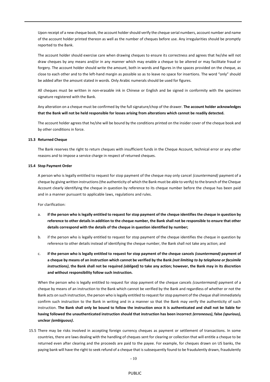Upon receipt of a new cheque book, the account holder should verify the cheque serial numbers, account number and name of the account holder printed thereon as well as the number of cheques before use. Any irregularities should be promptly reported to the Bank.

The account holder should exercise care when drawing cheques to ensure its correctness and agrees that he/she will not draw cheques by any means and/or in any manner which may enable a cheque to be altered or may facilitate fraud or forgery. The account holder should write the amount, both in words and figures in the spaces provided on the cheque, as close to each other and to the left-hand margin as possible so as to leave no space for insertions. The word "only" should be added after the amount stated in words. Only Arabic numerals should be used for figures.

All cheques must be written in non-erasable ink in Chinese or English and be signed in conformity with the specimen signature registered with the Bank.

Any alteration on a cheque must be confirmed by the full signature/chop of the drawer. **The account holder acknowledges that the Bank will not be held responsible for losses arising from alterations which cannot be readily detected.**

The account holder agrees that he/she will be bound by the conditions printed on the insider cover of the cheque book and by other conditions in force.

## **15.3 Returned Cheque**

The Bank reserves the right to return cheques with insufficient funds in the Cheque Account, technical error or any other reasons and to impose a service charge in respect of returned cheques.

#### **15.4 Stop Payment Order**

A person who is legally entitled to request for stop payment of the cheque may only cancel *(countermand)* payment of a cheque by giving written instructions (the authenticity of which the Bank must be able to verify) to the branch of the Cheque Account clearly identifying the cheque in question by reference to its cheque number before the cheque has been paid and in a manner pursuant to applicable laws, regulations and rules.

For clarification:

- a. **if the person who is legally entitled to request for stop payment of the cheque identifies the cheque in question by reference to other details in addition to the cheque number, the Bank shall not be responsible to ensure that other details correspond with the details of the cheque in question identified by number;**
- b. if the person who is legally entitled to request for stop payment of the cheque identifies the cheque in question by reference to other details instead of identifying the cheque number, the Bank shall not take any action; and
- c. **if the person who is legally entitled to request for stop payment of the cheque cancels** *(countermand)* **payment of a cheque by means of an instruction which cannot be verified by the Bank** *(not limiting to by telephone or facsimile instructions)***, the Bank shall not be required** *(obliged)* **to take any action; however, the Bank may in its discretion and without responsibility follow such instruction.**

When the person who is legally entitled to request for stop payment of the cheque cancels *(countermand)* payment of a cheque by means of an instruction to the Bank which cannot be verified by the Bank and regardless of whether or not the Bank acts on such instruction, the person who is legally entitled to request for stop payment of the cheque shall immediately confirm such instruction to the Bank in writing and in a manner so that the Bank may verify the authenticity of such instruction. **The Bank shall only be bound to follow the instruction once it is authenticated and shall not be liable for having followed the unauthenticated instruction should that instruction has been incorrect** *(erroneous)***, false** *(spurious)***, unclear** *(ambiguous)***.**

15.5 There may be risks involved in accepting foreign currency cheques as payment or settlement of transactions. In some countries, there are laws dealing with the handling of cheques sent for clearing or collection that will entitle a cheque to be returned even after clearing and the proceeds are paid to the payee. For example, for cheques drawn on US banks, the paying bank will have the right to seek refund of a cheque that is subsequently found to be fraudulently drawn, fraudulently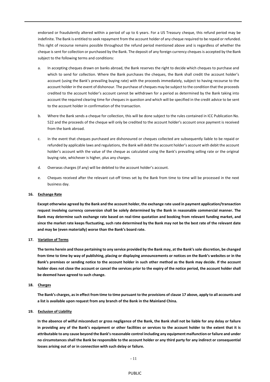endorsed or fraudulently altered within a period of up to 6 years. For a US Treasury cheque, this refund period may be indefinite. The Bank is entitled to seek repayment from the account holder of any cheque required to be repaid or refunded. This right of recourse remains possible throughout the refund period mentioned above and is regardless of whether the cheque is sent for collection or purchased by the Bank. The deposit of any foreign currency cheques is accepted by the Bank subject to the following terms and conditions:

- a. In accepting cheques drawn on banks abroad, the Bank reserves the right to decide which cheques to purchase and which to send for collection. Where the Bank purchases the cheques, the Bank shall credit the account holder's account (using the Bank's prevailing buying rate) with the proceeds immediately, subject to having recourse to the account holder in the event of dishonour. The purchase of cheques may be subject to the condition that the proceeds credited to the account holder's account cannot be withdrawn for a period as determined by the Bank taking into account the required clearing time for cheques in question and which will be specified in the credit advice to be sent to the account holder in confirmation of the transaction.
- b. Where the Bank sends a cheque for collection, this will be done subject to the rules contained in ICC Publication No. 522 and the proceeds of the cheque will only be credited to the account holder's account once payment is received from the bank abroad.
- c. In the event that cheques purchased are dishonoured or cheques collected are subsequently liable to be repaid or refunded by applicable laws and regulations, the Bank will debit the account holder's account with debit the account holder's account with the value of the cheque as calculated using the Bank's prevailing selling rate or the original buying rate, whichever is higher, plus any charges.
- d. Overseas charges (if any) will be debited to the account holder's account.
- e. Cheques received after the relevant cut-off times set by the Bank from time to time will be processed in the next business day.

#### **16. Exchange Rate**

**Except otherwise agreed by the Bank and the account holder, the exchange rate used in payment application/transaction request involving currency conversion shall be solely determined by the Bank in reasonable commercial manner. The Bank may determine such exchange rate based on real-time quotation and booking from relevant funding market, and since the market rate keeps fluctuating, such rate determined by the Bank may not be the best rate of the relevant date and may be (even materially) worse than the Bank's board rate.**

## **17. Variation of Terms**

**The terms herein and those pertaining to any service provided by the Bank may, at the Bank's sole discretion, be changed from time to time by way of publishing, placing or displaying announcements or notices on the Bank's websites or in the Bank's premises or sending notice to the account holder in such other method as the Bank may decide. If the account holder does not close the account or cancel the services prior to the expiry of the notice period, the account holder shall be deemed have agreed to such change.** 

**18. Charges**

**The Bank's charges, as in effect from time to time pursuant to the provisions of clause 17 above, apply to all accounts and a list is available upon request from any branch of the Bank in the Mainland China.** 

#### **19. Exclusion of Liability**

**In the absence of wilful misconduct or gross negligence of the Bank, the Bank shall not be liable for any delay or failure in providing any of the Bank's equipment or other facilities or services to the account holder to the extent that it is attributable to any cause beyond the Bank's reasonable control including any equipment malfunction or failure and under no circumstances shall the Bank be responsible to the account holder or any third party for any indirect or consequential losses arising out of or in connection with such delay or failure.**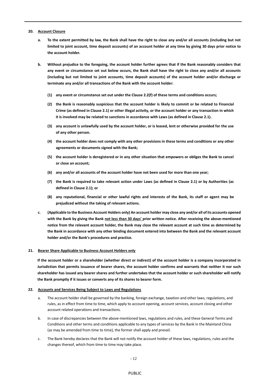## **20. Account Closure**

- **a. To the extent permitted by law, the Bank shall have the right to close any and/or all accounts (including but not limited to joint account, time deposit accounts) of an account holder at any time by giving 30 days prior notice to the account holder.**
- **b. Without prejudice to the foregoing, the account holder further agrees that if the Bank reasonably considers that any event or circumstance set out below occurs, the Bank shall have the right to close any and/or all accounts (including but not limited to joint accounts, time deposit accounts) of the account holder and/or discharge or terminate any and/or all transactions of the Bank with the account holder:**
	- **(1) any event or circumstance set out under the Clause 2.2(f) of these terms and conditions occurs;**
	- **(2) the Bank is reasonably suspicious that the account holder is likely to commit or be related to Financial Crime (as defined in Clause 2.1) or other illegal activity, or the account holder or any transaction in which it is involved may be related to sanctions in accordance with Laws (as defined in Clause 2.1).**
	- **(3) any account is unlawfully used by the account holder, or is leased, lent or otherwise provided for the use of any other person.**
	- **(4) the account holder does not comply with any other provisions in these terms and conditions or any other agreements or documents signed with the Bank;**
	- **(5) the account holder is deregistered or in any other situation that empowers or obliges the Bank to cancel or close an account;**
	- **(6) any and/or all accounts of the account holder have not been used for more than one year;**
	- **(7) the Bank is required to take relevant action under Laws (as defined in Clause 2.1) or by Authorities (as defined in Clause 2.1); or**
	- **(8) any reputational, financial or other lawful rights and interests of the Bank, its staff or agent may be prejudiced without the taking of relevant actions.**
- **c. (Applicable to the Business Account Holders only) An account holder may close any and/or all of its accounts opened**  with the Bank by giving the Bank not less than 30 days' prior written notice. After receiving the above-mentioned **notice from the relevant account holder, the Bank may close the relevant account at such time as determined by the Bank in accordance with any other binding document entered into between the Bank and the relevant account holder and/or the Bank's procedures and practice.**

## **21. Bearer Share Applicable to Business Account Holders only**

**If the account holder or a shareholder (whether direct or indirect) of the account holder is a company incorporated in Jurisdiction that permits issuance of bearer shares, the account holder confirms and warrants that neither it nor such shareholder has issued any bearer shares and further undertakes that the account holder or such shareholder will notify the Bank promptly if it issues or converts any of its shares to bearer form.**

#### **22. Accounts and Services Being Subject to Laws and Regulations**

- a. The account holder shall be governed by the banking, foreign exchange, taxation and other laws, regulations, and rules, as in effect from time to time, which apply to account opening, account services, account closing and other account related operations and transactions.
- b. In case of discrepancies between the above-mentioned laws, regulations and rules, and these General Terms and Conditions and other terms and conditions applicable to any types of services by the Bank in the Mainland China (as may be amended from time to time), the former shall apply and prevail.
- c. The Bank hereby declares that the Bank will not notify the account holder of these laws, regulations, rules and the changes thereof, which from time to time may take place.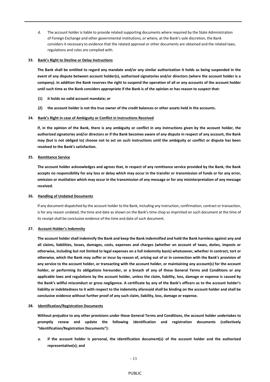d. The account holder is liable to provide related supporting documents where required by the State Administration of Foreign Exchange and other governmental institutions, or where, at the Bank's sole discretion, the Bank considers it necessary to evidence that the related approval or other documents are obtained and the related laws, regulations and rules are complied with.

## **23. Bank's Right to Decline or Delay Instructions**

**The Bank shall be entitled to regard any mandate and/or any similar authorization it holds as being suspended in the event of any dispute between account holder(s), authorized signatories and/or directors (where the account holder is a company). In addition the Bank reserves the right to suspend the operation of all or any accounts of the account holder until such time as the Bank considers appropriate if the Bank is of the opinion or has reason to suspect that:**

- **(1) it holds no valid account mandate; or**
- **(2) the account holder is not the true owner of the credit balances or other assets held in the accounts.**
- **24. Bank's Right in case of Ambiguity or Conflict in Instructions Received**

**If, in the opinion of the Bank, there is any ambiguity or conflict in any instructions given by the account holder, the authorized signatories and/or directors or if the Bank becomes aware of any dispute in respect of any account, the Bank may (but is not obliged to) choose not to act on such instructions until the ambiguity or conflict or dispute has been resolved to the Bank's satisfaction.**

# **25. Remittance Service**

**The account holder acknowledges and agrees that, in respect of any remittance service provided by the Bank, the Bank accepts no responsibility for any loss or delay which may occur in the transfer or transmission of funds or for any error, omission or mutilation which may occur in the transmission of any message or for any misinterpretation of any message received.**

#### **26. Handling of Undated Documents**

If any document dispatched by the account holder to the Bank, including any instruction, confirmation, contract or transaction, is for any reason undated, the time and date as shown on the Bank's time chop as imprinted on such document at the time of its receipt shall be conclusive evidence of the time and date of such document.

## **27. Account Holder's Indemnity**

**The account holder shall indemnify the Bank and keep the Bank indemnified and hold the Bank harmless against any and all claims, liabilities, losses, damages, costs, expenses and charges (whether on account of taxes, duties, imposts or otherwise, including but not limited to legal expenses on a full indemnity basis) whatsoever, whether in contract, tort or otherwise, which the Bank may suffer or incur by reason of, arising out of or in connection with the Bank's provision of any service to the account holder, or transacting with the account holder, or maintaining any account(s) for the account holder, or performing its obligations hereunder, or a breach of any of these General Terms and Conditions or any applicable laws and regulations by the account holder, unless the claim, liability, loss, damage or expense is caused by the Bank's willful misconduct or gross negligence. A certificate by any of the Bank's officers as to the account holder's liability or indebtedness to it with respect to the indemnity aforesaid shall be binding on the account holder and shall be conclusive evidence without further proof of any such claim, liability, loss, damage or expense.**

#### **28. Identification/Registration Documents**

**Without prejudice to any other provisions under these General Terms and Conditions, the account holder undertakes to promptly renew and update the following identification and registration documents (collectively "Identification/Registration Documents"):**

**a. if the account holder is personal, the identification document(s) of the account holder and the authorized representative(s); and**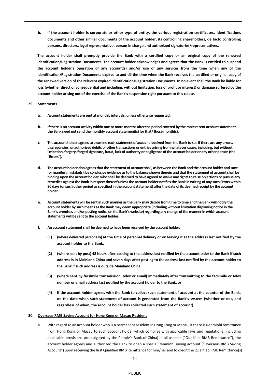**b. if the account holder is corporate or other type of entity, the various registration certificates, identifications documents and other similar documents of the account holder, its controlling shareholders, de facto controlling persons, directors, legal representative, person in charge and authorized signatories/representatives.**

**The account holder shall promptly provide the Bank with a certified copy or an original copy of the renewed Identification/Registration Documents. The account holder acknowledges and agrees that the Bank is entitled to suspend the account holder's operation of any account(s) and/or use of any services from the time when any of the Identification/Registration Documents expires to and till the time when the Bank receives the certified or original copy of the renewed version of the relevant expired Identification/Registration Documents. In no event shall the Bank be liable for loss (whether direct or consequential and including, without limitation, loss of profit or interest) or damage suffered by the account holder arising out of the exercise of the Bank's suspension right pursuant to this clause.**

## **29. Statements**

- **a. Account statements are sent at monthly intervals, unless otherwise requested.**
- **b. If there is no account activity within one or more months after the period covered by the most recent account statement, the Bank need not send the monthly account statement(s) for that/ those month(s).**
- **c. The account holder agrees to examine each statement of account received from the Bank to see if there are any errors, discrepancies, unauthorized debits or other transactions or entries arising from whatever cause, including, but without limitation, forgery, forged signature, fraud, lack of authority or negligence of the account holder or any other person (the "Errors").**
- **d. The account holder also agrees that the statement of account shall, as between the Bank and the account holder and save for manifest mistake(s), be conclusive evidence as to the balance shown therein and that the statement of account shall be binding upon the account holder, who shall be deemed to have agreed to waive any rights to raise objections or pursue any remedies against the Bank in respect thereof unless the account holder notifies the Bank in writing of any such Errors within 90 days (or such other period as specified in the account statement) after the date of its deemed receipt by the account holder.**
- **e. Account statements will be sent in such manner as the Bank may decide from time to time and the Bank will notify the account holder by such means as the Bank may deem appropriate (including without limitation displaying notice in the Bank's premises and/or posting notice on the Bank's website) regarding any change of the manner in which account statements will be sent to the account holder.**
- **f. An account statement shall be deemed to have been received by the account holder:**
	- **(1) (where delivered personally) at the time of personal delivery or on leaving it at the address last notified by the account holder to the Bank,**
	- **(2) (where sent by post) 48 hours after posting to the address last notified by the account older to the Bank if such address is in Mainland China and seven days after posting to the address last notified by the account holder to the Bank if such address is outside Mainland China,**
	- **(3) (where sent by facsimile transmission, telex or email) immediately after transmitting to the facsimile or telex number or email address last notified by the account holder to the Bank, or**
	- **(4) if the account holder agrees with the Bank to collect such statement of account at the counter of the Bank, on the date when such statement of account is generated from the Bank's system (whether or not, and regardless of when, the account holder has collected such statement of account).**

## **30. Overseas RMB Saving Account for Hong Kong or Macau Resident**

a. With regard to an account holder who is a permanent resident in Hong Kong or Macau, if there is Renminbi remittance from Hong Kong or Macau to such account holder which complies with applicable laws and regulations (including applicable provisions promulgated by the People's Bank of China) in all aspects ("Qualified RMB Remittance"), the account holder agrees and authorized the Bank to open a special Renminbi saving account ("Overseas RMB Saving Account") upon receiving the first Qualified RMB Remittance for him/her and to credit the Qualified RMB Remittance(s)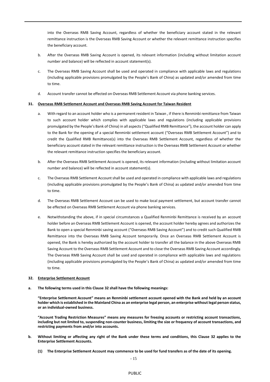into the Overseas RMB Saving Account, regardless of whether the beneficiary account stated in the relevant remittance instruction is the Overseas RMB Saving Account or whether the relevant remittance instruction specifies the beneficiary account.

- b. After the Overseas RMB Saving Account is opened, its relevant information (including without limitation account number and balance) will be reflected in account statement(s).
- c. The Overseas RMB Saving Account shall be used and operated in compliance with applicable laws and regulations (including applicable provisions promulgated by the People's Bank of China) as updated and/or amended from time to time.
- d. Account transfer cannot be effected on Overseas RMB Settlement Account via phone banking services.

## **31. Overseas RMB Settlement Account and Overseas RMB Saving Account for Taiwan Resident**

- a. With regard to an account holder who is a permanent resident in Taiwan , if there is Renminbi remittance from Taiwan to such account holder which complies with applicable laws and regulations (including applicable provisions promulgated by the People's Bank of China) in all aspects ("Qualified RMB Remittance"), the account holder can apply to the Bank for the opening of a special Renminbi settlement account ("Overseas RMB Settlement Account") and to credit the Qualified RMB Remittance(s) into the Overseas RMB Settlement Account, regardless of whether the beneficiary account stated in the relevant remittance instruction is the Overseas RMB Settlement Account or whether the relevant remittance instruction specifies the beneficiary account.
- b. After the Overseas RMB Settlement Account is opened, its relevant information (including without limitation account number and balance) will be reflected in account statement(s).
- c. The Overseas RMB Settlement Account shall be used and operated in compliance with applicable laws and regulations (including applicable provisions promulgated by the People's Bank of China) as updated and/or amended from time to time.
- d. The Overseas RMB Settlement Account can be used to make local payment settlement, but account transfer cannot be effected on Overseas RMB Settlement Account via phone banking services.
- e. Notwithstanding the above, if in special circumstances a Qualified Renminbi Remittance is received by an account holder before an Overseas RMB Settlement Account is opened, the account holder hereby agrees and authorizes the Bank to open a special Renminbi saving account ("Overseas RMB Saving Account") and to credit such Qualified RMB Remittance into the Overseas RMB Saving Account temporarily. Once an Overseas RMB Settlement Account is opened, the Bank is hereby authorized by the account holder to transfer all the balance in the above Overseas RMB Saving Account to the Overseas RMB Settlement Account and to close the Overseas RMB Saving Account accordingly. The Overseas RMB Saving Account shall be used and operated in compliance with applicable laws and regulations (including applicable provisions promulgated by the People's Bank of China) as updated and/or amended from time to time.

#### **32. Enterprise Settlement Account**

**a. The following terms used in this Clause 32 shall have the following meanings:**

**"Enterprise Settlement Account" means an Renminbi settlement account opened with the Bank and held by an account holder which is established in the Mainland China as an enterprise legal person, an enterprise without legal person status, or an individual-owned business.**

**"Account Trading Restriction Measures" means any measures for freezing accounts or restricting account transactions, including but not limited to, suspending non-counter business, limiting the size or frequency of account transactions, and restricting payments from and/or into accounts.**

- **b. Without limiting or affecting any right of the Bank under these terms and conditions, this Clause 32 applies to the Enterprise Settlement Accounts.**
	- **(1) The Enterprise Settlement Account may commence to be used for fund transfers as of the date of its opening.**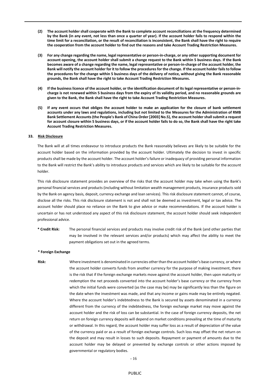- **(2) The account holder shall cooperate with the Bank to complete account reconciliations at the frequency determined by the Bank (in any event, not less than once a quarter of year). If the account holder fails to respond within the time limit for a reconciliation, or the result of reconciliation is inconsistent, the Bank shall have the right to require the cooperation from the account holder to find out the reasons and take Account Trading Restriction Measures.**
- **(3) For any change regarding the name, legal representative or person-in-charge, or any other supporting document for account opening, the account holder shall submit a change request to the Bank within 5 business days. If the Bank becomes aware of a change regarding the name, legal representative or person-in-charge of the account holder, the Bank will notify the account holder for it to follow the proceduresfor the change. If the account holder fails to follow the procedures for the change within 5 business days of the delivery of notice, without giving the Bank reasonable grounds, the Bank shall have the right to take Account Trading Restriction Measures.**
- **(4) If the business licence of the account holder, or the identification document of its legal representative or person-incharge is not renewed within 5 business days from the expiry of its validity period, and no reasonable grounds are given to the Bank, the Bank shall have the right to take Account Trading Restriction Measures.**
- **(5) If any event occurs that obliges the account holder to make an application for the closure of bank settlement accounts under any laws and regulations, including but not limited to the Measures for the Administration of RMB Bank Settlement Accounts (the People's Bank of China Order [2003] No.5), the account holder shall submit a request for account closure within 5 business days, or if the account holder fails to do so, the Bank shall have the right take Account Trading Restriction Measures.**

## **33. Risk Disclosure**

The Bank will at all times endeavour to introduce products the Bank reasonably believes are likely to be suitable for the account holder based on the information provided by the account holder. Ultimately the decision to invest in specific products shall be made by the account holder. The account holder's failure or inadequacy of providing personal information to the Bank will restrict the Bank's ability to introduce products and services which are likely to be suitable for the account holder.

This risk disclosure statement provides an overview of the risks that the account holder may take when using the Bank's personal financial services and products (including without limitation wealth management products, insurance products sold by the Bank on agency basis, deposit, currency exchange and loan services). This risk disclosure statement cannot, of course, disclose all the risks. This risk disclosure statement is not and shall not be deemed as investment, legal or tax advice. The account holder should place no reliance on the Bank to give advice or make recommendations. If the account holder is uncertain or has not understood any aspect of this risk disclosure statement, the account holder should seek independent professional advice.

**\* Credit Risk:** The personal financial services and products may involve credit risk of the Bank (and other parties that may be involved in the relevant services and/or products) which may affect the ability to meet the payment obligations set out in the agreed terms.

#### **\* Foreign Exchange**

**Risk:** Where investment is denominated in currencies other than the account holder's base currency, or where the account holder converts funds from another currency for the purpose of making investment, there is the risk that if the foreign exchange markets move against the account holder, then upon maturity or redemption the net proceeds converted into the account holder's base currency or the currency from which the initial funds were converted (as the case may be) may be significantly less than the figure on the date when the investment was made, and that any income or gains made may be entirely negated. Where the account holder's indebtedness to the Bank is secured by assets denominated in a currency different from the currency of the indebtedness, the foreign exchange market may move against the account holder and the risk of loss can be substantial. In the case of foreign currency deposits, the net return on foreign currency deposits will depend on market conditions prevailing at the time of maturity or withdrawal. In this regard, the account holder may suffer loss as a result of depreciation of the value of the currency paid or as a result of foreign exchange controls. Such loss may offset the net return on the deposit and may result in losses to such deposits. Repayment or payment of amounts due to the account holder may be delayed or prevented by exchange controls or other actions imposed by governmental or regulatory bodies.